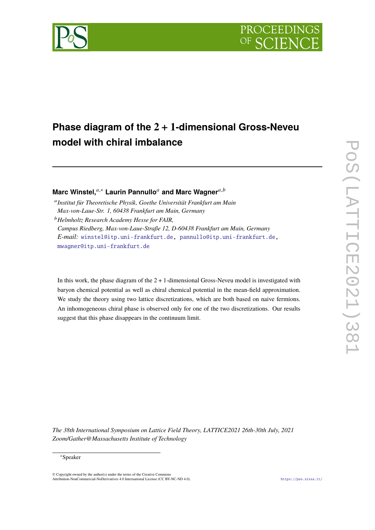

# **Phase diagram of the 2** + **1-dimensional Gross-Neveu model with chiral imbalance**

**Marc Winstel,**<sup>a,\*</sup> Laurin Pannullo<sup>*a*</sup> and Marc Wagner<sup>*a*,*b*</sup>

<sup>a</sup> Institut für Theoretische Physik, Goethe Universität Frankfurt am Main *Max-von-Laue-Str. 1, 60438 Frankfurt am Main, Germany*

<sup>𝑏</sup>*Helmholtz Research Academy Hesse for FAIR, Campus Riedberg, Max-von-Laue-Straße 12, D-60438 Frankfurt am Main, Germany E-mail:* [winstel@itp.uni-frankfurt.de,](mailto:winstel@itp.uni-frankfurt.de) [pannullo@itp.uni-frankfurt.de,](mailto:pannullo@itp.uni-frankfurt.de) [mwagner@itp.uni-frankfurt.de](mailto:mwagner@itp.uni-frankfurt.de)

In this work, the phase diagram of the  $2 + 1$ -dimensional Gross-Neveu model is investigated with baryon chemical potential as well as chiral chemical potential in the mean-field approximation. We study the theory using two lattice discretizations, which are both based on naive fermions. An inhomogeneous chiral phase is observed only for one of the two discretizations. Our results suggest that this phase disappears in the continuum limit.

*The 38th International Symposium on Lattice Field Theory, LATTICE2021 26th-30th July, 2021 Zoom/Gather@Massachusetts Institute of Technology*

© Copyright owned by the author(s) under the terms of the Creative Commons Attribution-NonCommercial-NoDerivatives 4.0 International License (CC BY-NC-ND 4.0). <https://pos.sissa.it/>

<sup>∗</sup>Speaker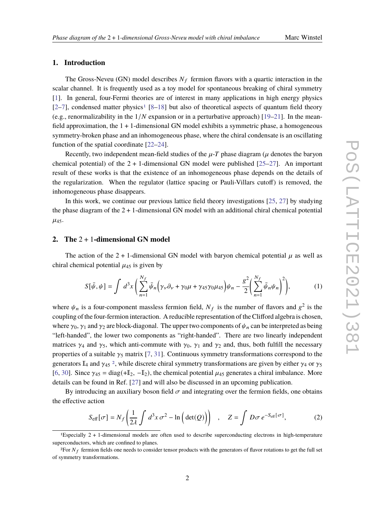# **1. Introduction**

The Gross-Neveu (GN) model describes  $N_f$  fermion flavors with a quartic interaction in the scalar channel. It is frequently used as a toy model for spontaneous breaking of chiral symmetry [\[1\]](#page-6-0). In general, four-Fermi theories are of interest in many applications in high energy physics  $[2-7]$  $[2-7]$ , condensed matter physics<sup>[1](#page-1-0)</sup> [\[8](#page-6-3)[–18\]](#page-7-0) but also of theoretical aspects of quantum field theory (e.g., renormalizability in the  $1/N$  expansion or in a perturbative approach) [\[19–](#page-7-1)[21\]](#page-7-2). In the meanfield approximation, the  $1 + 1$ -dimensional GN model exhibits a symmetric phase, a homogeneous symmetry-broken phase and an inhomogeneous phase, where the chiral condensate is an oscillating function of the spatial coordinate [\[22](#page-7-3)[–24\]](#page-7-4).

Recently, two independent mean-field studies of the  $\mu$ -T phase diagram ( $\mu$  denotes the baryon chemical potential) of the  $2 + 1$ -dimensional GN model were published  $[25-27]$  $[25-27]$ . An important result of these works is that the existence of an inhomogeneous phase depends on the details of the regularization. When the regulator (lattice spacing or Pauli-Villars cutoff) is removed, the inhomogeneous phase disappears.

In this work, we continue our previous lattice field theory investigations [\[25,](#page-7-5) [27\]](#page-7-6) by studying the phase diagram of the  $2 + 1$ -dimensional GN model with an additional chiral chemical potential  $\mu_{45}$ .

# **2. The** 2 + 1**-dimensional GN model**

The action of the 2 + 1-dimensional GN model with baryon chemical potential  $\mu$  as well as chiral chemical potential  $\mu_{45}$  is given by

$$
S[\bar{\psi}, \psi] = \int d^3x \left( \sum_{n=1}^{N_f} \bar{\psi}_n \left( \gamma_\nu \partial_\nu + \gamma_0 \mu + \gamma_{45} \gamma_0 \mu_{45} \right) \psi_n - \frac{g^2}{2} \left( \sum_{n=1}^{N_f} \bar{\psi}_n \psi_n \right)^2 \right), \tag{1}
$$

where  $\psi_n$  is a four-component massless fermion field,  $N_f$  is the number of flavors and  $g^2$  is the coupling of the four-fermion interaction. A reducible representation of the Clifford algebra is chosen, where  $\gamma_0$ ,  $\gamma_1$  and  $\gamma_2$  are block-diagonal. The upper two components of  $\psi_n$  can be interpreted as being "left-handed", the lower two components as "right-handed". There are two linearly independent matrices  $\gamma_4$  and  $\gamma_5$ , which anti-commute with  $\gamma_0$ ,  $\gamma_1$  and  $\gamma_2$  and, thus, both fulfill the necessary properties of a suitable  $\gamma_5$  matrix [\[7,](#page-6-2) [31\]](#page-8-0). Continuous symmetry transformations correspond to the generators  $\mathbb{I}_4$  and  $\gamma_{45}$  <sup>[2](#page-1-1)</sup>, while discrete chiral symmetry transformations are given by either  $\gamma_4$  or  $\gamma_5$ [\[6,](#page-6-4) [30\]](#page-8-1). Since  $\gamma_{45} = \text{diag}(+I_2, -I_2)$ , the chemical potential  $\mu_{45}$  generates a chiral imbalance. More details can be found in Ref. [\[27\]](#page-7-6) and will also be discussed in an upcoming publication.

By introducing an auxiliary boson field  $\sigma$  and integrating over the fermion fields, one obtains the effective action

<span id="page-1-2"></span>
$$
S_{\text{eff}}[\sigma] = N_f \left( \frac{1}{2\lambda} \int d^3 x \, \sigma^2 - \ln \left( \det(Q) \right) \right) \quad , \quad Z = \int D\sigma \, e^{-S_{\text{eff}}[\sigma]}, \tag{2}
$$

<span id="page-1-0"></span><sup>1</sup>Especially 2 + 1-dimensional models are often used to describe superconducting electrons in high-temperature superconductors, which are confined to planes.

<span id="page-1-1"></span><sup>&</sup>lt;sup>2</sup>For  $N_f$  fermion fields one needs to consider tensor products with the generators of flavor rotations to get the full set of symmetry transformations.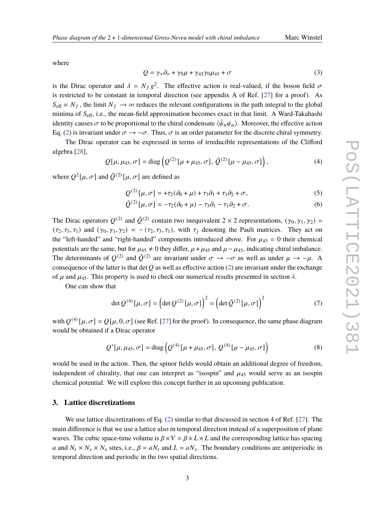where

$$
Q = \gamma_{\nu}\partial_{\nu} + \gamma_0\mu + \gamma_{45}\gamma_0\mu_{45} + \sigma \tag{3}
$$

is the Dirac operator and  $\lambda = N_f g^2$ . The effective action is real-valued, if the boson field  $\sigma$ is restricted to be constant in temporal direction (see appendix A of Ref. [\[27\]](#page-7-6) for a proof). As  $S_{\text{eff}} \propto N_f$ , the limit  $N_f \to \infty$  reduces the relevant configurations in the path integral to the global minima of  $S_{\text{eff}}$ , i.e., the mean-field approximation becomes exact in that limit. A Ward-Takahashi identity causes  $\sigma$  to be proportional to the chiral condensate  $\langle \bar{\psi}_n \psi_n \rangle$ . Moreover, the effective action Eq. [\(2\)](#page-1-2) is invariant under  $\sigma \to -\sigma$ . Thus,  $\sigma$  is an order parameter for the discrete chiral symmetry.

The Dirac operator can be expressed in terms of irreducible representations of the Clifford algebra [\[28\]](#page-7-7),

$$
Q[\mu, \mu_{45}, \sigma] = \text{diag}\left(Q^{(2)}[\mu + \mu_{45}, \sigma], \tilde{Q}^{(2)}[\mu - \mu_{45}, \sigma]\right),\tag{4}
$$

where  $Q^2[\mu, \sigma]$  and  $\tilde{Q}^{(2)}[\mu, \sigma]$  are defined as

$$
Q^{(2)}\left[\mu,\sigma\right] = +\tau_2(\partial_0 + \mu) + \tau_3\partial_1 + \tau_1\partial_2 + \sigma,\tag{5}
$$

$$
\tilde{\mathcal{Q}}^{(2)}\left[\mu,\sigma\right] = -\tau_2(\partial_0 + \mu) - \tau_3\partial_1 - \tau_1\partial_2 + \sigma. \tag{6}
$$

The Dirac operators  $Q^{(2)}$  and  $\tilde{Q}^{(2)}$  contain two inequivalent 2  $\times$  2 representations,  $(\gamma_0, \gamma_1, \gamma_2)$  =  $(\tau_2, \tau_3, \tau_1)$  and  $(\gamma_0, \gamma_1, \gamma_2) = -(\tau_2, \tau_3, \tau_1)$ , with  $\tau_i$  denoting the Pauli matrices. They act on the "left-handed" and "right-handed" components introduced above. For  $\mu_{45} = 0$  their chemical potentials are the same, but for  $\mu_{45} \neq 0$  they differ,  $\mu + \mu_{45}$  and  $\mu - \mu_{45}$ , indicating chiral imbalance. The determinants of  $Q^{(2)}$  and  $\tilde{Q}^{(2)}$  are invariant under  $\sigma \to -\sigma$  as well as under  $\mu \to -\mu$ . A consequence of the latter is that det Q as well as effective action [\(2\)](#page-1-2) are invariant under the exchange of  $\mu$  and  $\mu_{45}$ . This property is used to check our numerical results presented in section [4.](#page-3-0)

One can show that

$$
\det Q^{(4)}[\mu, \sigma] = \left(\det Q^{(2)}[\mu, \sigma]\right)^2 = \left(\det \tilde{Q}^{(2)}[\mu, \sigma]\right)^2 \tag{7}
$$

with  $Q^{(4)}[\mu, \sigma] = Q[\mu, 0, \sigma]$  (see Ref. [\[27\]](#page-7-6) for the proof). In consequence, the same phase diagram would be obtained if a Dirac operator

$$
Q'[\mu, \mu_{45}, \sigma] = \text{diag}\left(Q^{(4)}[\mu + \mu_{45}, \sigma], Q^{(4)}[\mu - \mu_{45}, \sigma]\right)
$$
(8)

would be used in the action. Then, the spinor fields would obtain an additional degree of freedom, independent of chirality, that one can interpret as "isospin" and  $\mu_{45}$  would serve as an isospin chemical potential. We will explore this concept further in an upcoming publication.

# **3. Lattice discretizations**

We use lattice discretizations of Eq. [\(2\)](#page-1-2) similar to that discussed in section 4 of Ref. [\[27\]](#page-7-6). The main difference is that we use a lattice also in temporal direction instead of a superposition of plane waves. The cubic space-time volume is  $\beta \times V = \beta \times L \times L$  and the corresponding lattice has spacing a and  $N_t \times N_s \times N_s$  sites, i.e.,  $\beta = aN_t$  and  $L = aN_s$ . The boundary conditions are antiperiodic in temporal direction and periodic in the two spatial directions.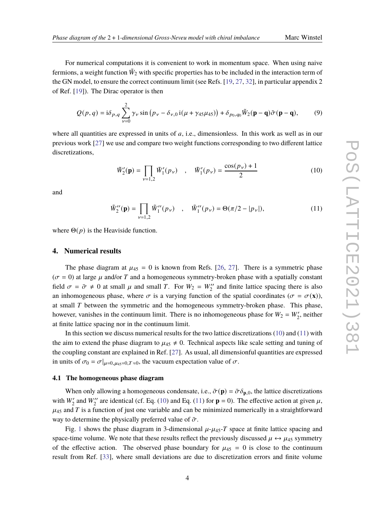For numerical computations it is convenient to work in momentum space. When using naive fermions, a weight function  $\tilde{W}_2$  with specific properties has to be included in the interaction term of the GN model, to ensure the correct continuum limit (see Refs. [\[19,](#page-7-1) [27,](#page-7-6) [32\]](#page-8-2), in particular appendix 2 of Ref. [\[19\]](#page-7-1)). The Dirac operator is then

$$
Q(p,q) = i\delta_{p,q} \sum_{\nu=0}^{2} \gamma_{\nu} \sin (p_{\nu} - \delta_{\nu,0} i(\mu + \gamma_{45}\mu_{45})) + \delta_{p_0,q_0} \tilde{W}_2(\mathbf{p} - \mathbf{q}) \tilde{\sigma}(\mathbf{p} - \mathbf{q}),
$$
 (9)

where all quantities are expressed in units of  $a$ , i.e., dimensionless. In this work as well as in our previous work [\[27\]](#page-7-6) we use and compare two weight functions corresponding to two different lattice discretizations,

<span id="page-3-2"></span><span id="page-3-1"></span>
$$
\tilde{W}'_2(\mathbf{p}) = \prod_{\nu=1,2} \tilde{W}'_1(p_{\nu}) \quad , \quad \tilde{W}'_1(p_{\nu}) = \frac{\cos(p_{\nu}) + 1}{2} \tag{10}
$$

and

$$
\tilde{W}_{2}''(\mathbf{p}) = \prod_{\nu=1,2} \tilde{W}_{1}''(p_{\nu}) \quad , \quad \tilde{W}_{1}''(p_{\nu}) = \Theta(\pi/2 - |p_{\nu}|), \tag{11}
$$

where  $\Theta(p)$  is the Heaviside function.

### <span id="page-3-0"></span>**4. Numerical results**

The phase diagram at  $\mu_{45} = 0$  is known from Refs. [\[26,](#page-7-8) [27\]](#page-7-6). There is a symmetric phase  $(\sigma = 0)$  at large  $\mu$  and/or T and a homogeneous symmetry-broken phase with a spatially constant field  $\sigma = \bar{\sigma} \neq 0$  at small  $\mu$  and small T. For  $W_2 = W_2''$  and finite lattice spacing there is also an inhomogeneous phase, where  $\sigma$  is a varying function of the spatial coordinates ( $\sigma = \sigma(\mathbf{x})$ ), at small  $T$  between the symmetric and the homogeneous symmetry-broken phase. This phase, however, vanishes in the continuum limit. There is no inhomogeneous phase for  $W_2 = W'_2$ , neither at finite lattice spacing nor in the continuum limit.

In this section we discuss numerical results for the two lattice discretizations [\(10\)](#page-3-1) and [\(11\)](#page-3-2) with the aim to extend the phase diagram to  $\mu_{45} \neq 0$ . Technical aspects like scale setting and tuning of the coupling constant are explained in Ref. [\[27\]](#page-7-6). As usual, all dimensionful quantities are expressed in units of  $\sigma_0 = \sigma|_{\mu=0, \mu_{45}=0, T \approx 0}$ , the vacuum expectation value of  $\sigma$ .

### **4.1 The homogeneous phase diagram**

When only allowing a homogeneous condensate, i.e.,  $\tilde{\sigma}(\mathbf{p}) = \bar{\sigma} \delta_{\mathbf{p},0}$ , the lattice discretizations with  $W'_2$  and  $W''_2$  are identical (cf. Eq. [\(10\)](#page-3-1) and Eq. [\(11\)](#page-3-2) for **p** = 0). The effective action at given  $\mu$ ,  $\mu_{45}$  and T is a function of just one variable and can be minimized numerically in a straightforward way to determine the physically preferred value of  $\bar{\sigma}$ .

Fig. [1](#page-4-0) shows the phase diagram in 3-dimensional  $\mu$ - $\mu$ <sub>45</sub>- $\tau$  space at finite lattice spacing and space-time volume. We note that these results reflect the previously discussed  $\mu \leftrightarrow \mu_{45}$  symmetry of the effective action. The observed phase boundary for  $\mu_{45} = 0$  is close to the continuum result from Ref. [\[33\]](#page-8-3), where small deviations are due to discretization errors and finite volume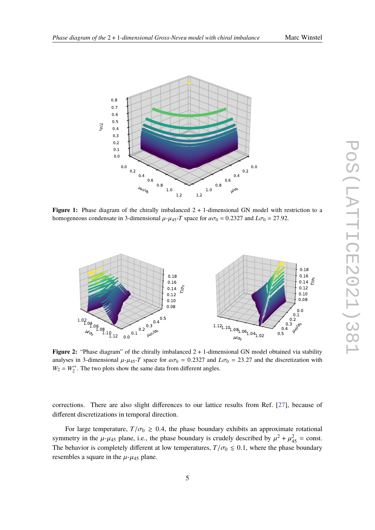

<span id="page-4-0"></span>

**Figure 1:** Phase diagram of the chirally imbalanced  $2 + 1$ -dimensional GN model with restriction to a homogeneous condensate in 3-dimensional  $\mu$ - $\mu$ <sub>45</sub>-*T* space for  $a\sigma_0 = 0.2327$  and  $L\sigma_0 = 27.92$ .

<span id="page-4-1"></span>

Figure 2: "Phase diagram" of the chirally imbalanced 2 + 1-dimensional GN model obtained via stability analyses in 3-dimensional  $\mu$ - $\mu$ <sub>45</sub>-*T* space for  $a\sigma_0 = 0.2327$  and  $L\sigma_0 = 23.27$  and the discretization with  $W_2 = W_2''$ . The two plots show the same data from different angles.

corrections. There are also slight differences to our lattice results from Ref. [\[27\]](#page-7-6), because of different discretizations in temporal direction.

For large temperature,  $T/\sigma_0 \ge 0.4$ , the phase boundary exhibits an approximate rotational symmetry in the  $\mu$ - $\mu$ <sub>45</sub> plane, i.e., the phase boundary is crudely described by  $\mu^2 + \mu_{45}^2$  = const. The behavior is completely different at low temperatures,  $T/\sigma_0 \leq 0.1$ , where the phase boundary resembles a square in the  $\mu$ - $\mu$ <sub>45</sub> plane.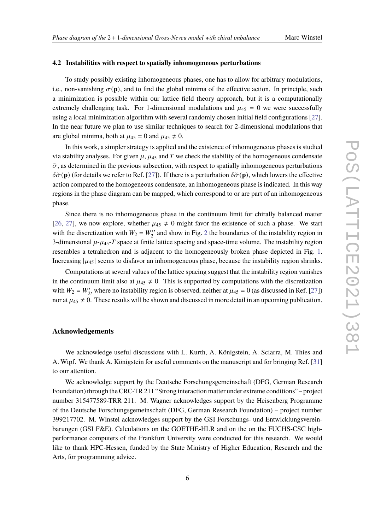### **4.2 Instabilities with respect to spatially inhomogeneous perturbations**

To study possibly existing inhomogeneous phases, one has to allow for arbitrary modulations, i.e., non-vanishing  $\sigma(\mathbf{p})$ , and to find the global minima of the effective action. In principle, such a minimization is possible within our lattice field theory approach, but it is a computationally extremely challenging task. For 1-dimensional modulations and  $\mu_{45} = 0$  we were successfully using a local minimization algorithm with several randomly chosen initial field configurations [\[27\]](#page-7-6). In the near future we plan to use similar techniques to search for 2-dimensional modulations that are global minima, both at  $\mu_{45} = 0$  and  $\mu_{45} \neq 0$ .

In this work, a simpler strategy is applied and the existence of inhomogeneous phases is studied via stability analyses. For given  $\mu$ ,  $\mu_{45}$  and T we check the stability of the homogeneous condensate  $\bar{\sigma}$ , as determined in the previous subsection, with respect to spatially inhomogeneous perturbations  $\delta\tilde{\sigma}(\mathbf{p})$  (for details we refer to Ref. [\[27\]](#page-7-6)). If there is a perturbation  $\delta\tilde{\sigma}(\mathbf{p})$ , which lowers the effective action compared to the homogeneous condensate, an inhomogeneous phase is indicated. In this way regions in the phase diagram can be mapped, which correspond to or are part of an inhomogeneous phase.

Since there is no inhomogeneous phase in the continuum limit for chirally balanced matter [\[26,](#page-7-8) [27\]](#page-7-6), we now explore, whether  $\mu_{45} \neq 0$  might favor the existence of such a phase. We start with the discretization with  $W_2 = W_2''$  $W_2 = W_2''$  $W_2 = W_2''$  and show in Fig. 2 the boundaries of the instability region in 3-dimensional  $\mu$ - $\mu$ <sub>45</sub>- $T$  space at finite lattice spacing and space-time volume. The instability region resembles a tetrahedron and is adjacent to the homogeneously broken phase depicted in Fig. [1.](#page-4-0) Increasing  $|\mu_{45}|$  seems to disfavor an inhomogeneous phase, because the instability region shrinks.

Computations at several values of the lattice spacing suggest that the instability region vanishes in the continuum limit also at  $\mu_{45} \neq 0$ . This is supported by computations with the discretization with  $W_2 = W'_2$ , where no instability region is observed, neither at  $\mu_{45} = 0$  (as discussed in Ref. [\[27\]](#page-7-6)) nor at  $\mu_{45} \neq 0$ . These results will be shown and discussed in more detail in an upcoming publication.

### **Acknowledgements**

We acknowledge useful discussions with L. Kurth, A. Königstein, A. Sciarra, M. Thies and A. Wipf. We thank A. Königstein for useful comments on the manuscript and for bringing Ref. [\[31\]](#page-8-0) to our attention.

We acknowledge support by the Deutsche Forschungsgemeinschaft (DFG, German Research Foundation) through the CRC-TR 211 "Strong interaction matter under extreme conditions" – project number 315477589-TRR 211. M. Wagner acknowledges support by the Heisenberg Programme of the Deutsche Forschungsgemeinschaft (DFG, German Research Foundation) – project number 399217702. M. Winstel acknowledges support by the GSI Forschungs- und Entwicklungsvereinbarungen (GSI F&E). Calculations on the GOETHE-HLR and on the on the FUCHS-CSC highperformance computers of the Frankfurt University were conducted for this research. We would like to thank HPC-Hessen, funded by the State Ministry of Higher Education, Research and the Arts, for programming advice.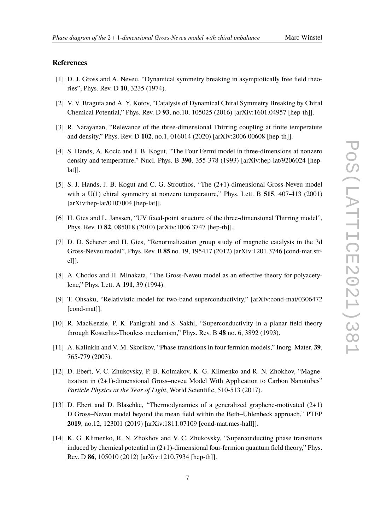# **References**

- <span id="page-6-0"></span>[1] D. J. Gross and A. Neveu, "Dynamical symmetry breaking in asymptotically free field theories", Phys. Rev. D **10**, 3235 (1974).
- <span id="page-6-1"></span>[2] V. V. Braguta and A. Y. Kotov, "Catalysis of Dynamical Chiral Symmetry Breaking by Chiral Chemical Potential," Phys. Rev. D **93**, no.10, 105025 (2016) [arXiv:1601.04957 [hep-th]].
- [3] R. Narayanan, "Relevance of the three-dimensional Thirring coupling at finite temperature and density," Phys. Rev. D **102**, no.1, 016014 (2020) [arXiv:2006.00608 [hep-th]].
- [4] S. Hands, A. Kocic and J. B. Kogut, "The Four Fermi model in three-dimensions at nonzero density and temperature," Nucl. Phys. B **390**, 355-378 (1993) [arXiv:hep-lat/9206024 [heplat]].
- [5] S. J. Hands, J. B. Kogut and C. G. Strouthos, "The (2+1)-dimensional Gross-Neveu model with a U(1) chiral symmetry at nonzero temperature," Phys. Lett. B **515**, 407-413 (2001) [arXiv:hep-lat/0107004 [hep-lat]].
- <span id="page-6-4"></span>[6] H. Gies and L. Janssen, "UV fixed-point structure of the three-dimensional Thirring model", Phys. Rev. D **82**, 085018 (2010) [arXiv:1006.3747 [hep-th]].
- <span id="page-6-2"></span>[7] D. D. Scherer and H. Gies, "Renormalization group study of magnetic catalysis in the 3d Gross-Neveu model", Phys. Rev. B **85** no. 19, 195417 (2012) [arXiv:1201.3746 [cond-mat.strel]].
- <span id="page-6-3"></span>[8] A. Chodos and H. Minakata, "The Gross-Neveu model as an effective theory for polyacetylene," Phys. Lett. A **191**, 39 (1994).
- [9] T. Ohsaku, "Relativistic model for two-band superconductivity," [arXiv:cond-mat/0306472 [cond-mat]].
- [10] R. MacKenzie, P. K. Panigrahi and S. Sakhi, "Superconductivity in a planar field theory through Kosterlitz-Thouless mechanism," Phys. Rev. B **48** no. 6, 3892 (1993).
- [11] A. Kalinkin and V. M. Skorikov, "Phase transitions in four fermion models," Inorg. Mater. **39**, 765-779 (2003).
- [12] D. Ebert, V. C. Zhukovsky, P. B. Kolmakov, K. G. Klimenko and R. N. Zhokhov, "Magnetization in (2+1)-dimensional Gross–neveu Model With Application to Carbon Nanotubes" *Particle Physics at the Year of Light*, World Scientific, 510-513 (2017).
- [13] D. Ebert and D. Blaschke, "Thermodynamics of a generalized graphene-motivated  $(2+1)$ D Gross–Neveu model beyond the mean field within the Beth–Uhlenbeck approach," PTEP **2019**, no.12, 123I01 (2019) [arXiv:1811.07109 [cond-mat.mes-hall]].
- [14] K. G. Klimenko, R. N. Zhokhov and V. C. Zhukovsky, "Superconducting phase transitions induced by chemical potential in (2+1)-dimensional four-fermion quantum field theory," Phys. Rev. D **86**, 105010 (2012) [arXiv:1210.7934 [hep-th]].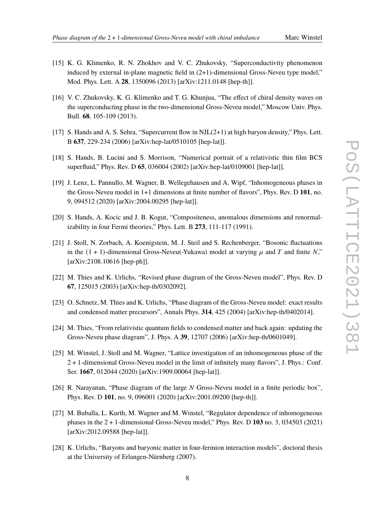- [15] K. G. Klimenko, R. N. Zhokhov and V. C. Zhukovsky, "Superconductivity phenomenon induced by external in-plane magnetic field in (2+1)-dimensional Gross-Neveu type model," Mod. Phys. Lett. A **28**, 1350096 (2013) [arXiv:1211.0148 [hep-th]].
- [16] V. C. Zhukovsky, K. G. Klimenko and T. G. Khunjua, "The effect of chiral density waves on the superconducting phase in the two-dimensional Gross-Neveu model," Moscow Univ. Phys. Bull. **68**, 105-109 (2013).
- [17] S. Hands and A. S. Sehra, "Supercurrent flow in NJL(2+1) at high baryon density," Phys. Lett. B **637**, 229-234 (2006) [arXiv:hep-lat/0510105 [hep-lat]].
- <span id="page-7-0"></span>[18] S. Hands, B. Lucini and S. Morrison, "Numerical portrait of a relativistic thin film BCS superfluid," Phys. Rev. D **65**, 036004 (2002) [arXiv:hep-lat/0109001 [hep-lat]].
- <span id="page-7-1"></span>[19] J. Lenz, L. Pannullo, M. Wagner, B. Wellegehausen and A. Wipf, "Inhomogeneous phases in the Gross-Neveu model in 1+1 dimensions at finite number of flavors", Phys. Rev. D **101**, no. 9, 094512 (2020) [arXiv:2004.00295 [hep-lat]].
- [20] S. Hands, A. Kocic and J. B. Kogut, "Compositeness, anomalous dimensions and renormalizability in four Fermi theories," Phys. Lett. B **273**, 111-117 (1991).
- <span id="page-7-2"></span>[21] J. Stoll, N. Zorbach, A. Koenigstein, M. J. Steil and S. Rechenberger, "Bosonic fluctuations in the  $(1 + 1)$ -dimensional Gross-Neveu(-Yukawa) model at varying  $\mu$  and T and finite N," [arXiv:2108.10616 [hep-ph]].
- <span id="page-7-3"></span>[22] M. Thies and K. Urlichs, "Revised phase diagram of the Gross-Neveu model", Phys. Rev. D **67**, 125015 (2003) [arXiv:hep-th/0302092].
- [23] O. Schnetz, M. Thies and K. Urlichs, "Phase diagram of the Gross-Neveu model: exact results and condensed matter precursors", Annals Phys. **314**, 425 (2004) [arXiv:hep-th/0402014].
- <span id="page-7-4"></span>[24] M. Thies, "From relativistic quantum fields to condensed matter and back again: updating the Gross-Neveu phase diagram", J. Phys. A **39**, 12707 (2006) [arXiv:hep-th/0601049].
- <span id="page-7-5"></span>[25] M. Winstel, J. Stoll and M. Wagner, "Lattice investigation of an inhomogeneous phase of the 2 + 1-dimensional Gross-Neveu model in the limit of infinitely many flavors", J. Phys.: Conf. Ser. **1667**, 012044 (2020) [arXiv:1909.00064 [hep-lat]].
- <span id="page-7-8"></span>[26] R. Narayanan, "Phase diagram of the large  $N$  Gross-Neveu model in a finite periodic box", Phys. Rev. D **101**, no. 9, 096001 (2020) [arXiv:2001.09200 [hep-th]].
- <span id="page-7-6"></span>[27] M. Buballa, L. Kurth, M. Wagner and M. Winstel, "Regulator dependence of inhomogeneous phases in the 2 + 1-dimensional Gross-Neveu model," Phys. Rev. D **103** no. 3, 034503 (2021) [arXiv:2012.09588 [hep-lat]].
- <span id="page-7-7"></span>[28] K. Urlichs, "Baryons and baryonic matter in four-fermion interaction models", doctoral thesis at the University of Erlangen-Nürnberg (2007).